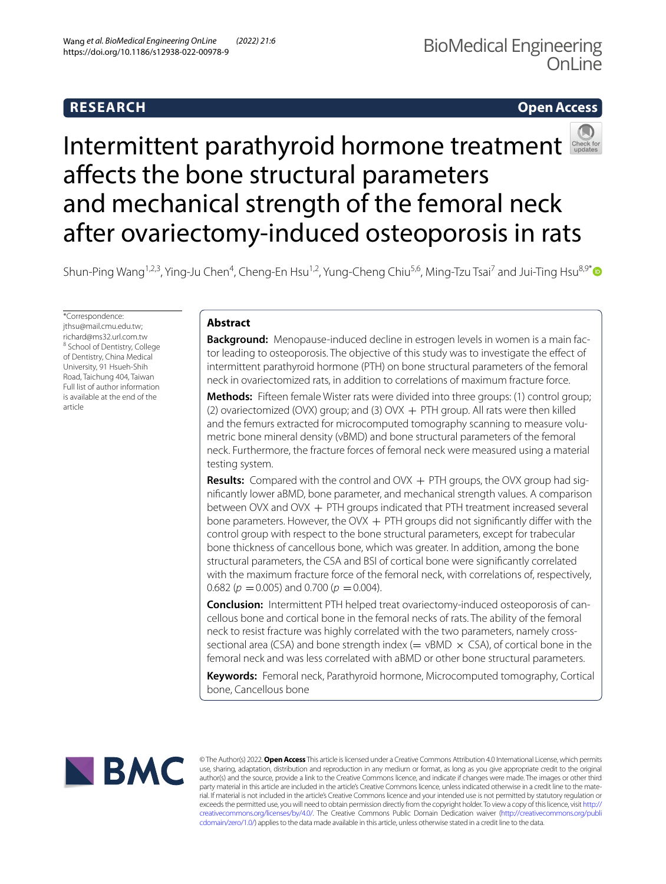# **RESEARCH**

# **Open Access**



# Intermittentparathyroid hormone treatment afects the bone structural parameters and mechanical strength of the femoral neck after ovariectomy‑induced osteoporosis in rats

Shun-Ping Wang<sup>1,2,3</sup>, Ying-Ju Chen<sup>4</sup>, Cheng-En Hsu<sup>1,2</sup>, Yung-Cheng Chiu<sup>5,6</sup>, Ming-Tzu Tsai<sup>7</sup> and Jui-Ting Hsu<sup>8,9[\\*](http://orcid.org/0000-0002-5533-2059)</sup>

\*Correspondence: jthsu@mail.cmu.edu.tw; richard@ms32.url.com.tw <sup>8</sup> School of Dentistry, College of Dentistry, China Medical University, 91 Hsueh‑Shih Road, Taichung 404, Taiwan Full list of author information is available at the end of the article

# **Abstract**

Background: Menopause-induced decline in estrogen levels in women is a main factor leading to osteoporosis. The objective of this study was to investigate the efect of intermittent parathyroid hormone (PTH) on bone structural parameters of the femoral neck in ovariectomized rats, in addition to correlations of maximum fracture force.

**Methods:** Fifteen female Wister rats were divided into three groups: (1) control group; (2) ovariectomized (OVX) group; and (3) OVX + PTH group. All rats were then killed and the femurs extracted for microcomputed tomography scanning to measure volumetric bone mineral density (vBMD) and bone structural parameters of the femoral neck. Furthermore, the fracture forces of femoral neck were measured using a material testing system.

**Results:** Compared with the control and OVX + PTH groups, the OVX group had signifcantly lower aBMD, bone parameter, and mechanical strength values. A comparison between OVX and OVX + PTH groups indicated that PTH treatment increased several bone parameters. However, the OVX  $+$  PTH groups did not significantly differ with the control group with respect to the bone structural parameters, except for trabecular bone thickness of cancellous bone, which was greater. In addition, among the bone structural parameters, the CSA and BSI of cortical bone were signifcantly correlated with the maximum fracture force of the femoral neck, with correlations of, respectively, 0.682 ( $p = 0.005$ ) and 0.700 ( $p = 0.004$ ).

**Conclusion:** Intermittent PTH helped treat ovariectomy-induced osteoporosis of cancellous bone and cortical bone in the femoral necks of rats. The ability of the femoral neck to resist fracture was highly correlated with the two parameters, namely crosssectional area (CSA) and bone strength index ( $=$  vBMD  $\times$  CSA), of cortical bone in the femoral neck and was less correlated with aBMD or other bone structural parameters.

**Keywords:** Femoral neck, Parathyroid hormone, Microcomputed tomography, Cortical bone, Cancellous bone



© The Author(s) 2022. **Open Access** This article is licensed under a Creative Commons Attribution 4.0 International License, which permits use, sharing, adaptation, distribution and reproduction in any medium or format, as long as you give appropriate credit to the original author(s) and the source, provide a link to the Creative Commons licence, and indicate if changes were made. The images or other third party material in this article are included in the article's Creative Commons licence, unless indicated otherwise in a credit line to the material. If material is not included in the article's Creative Commons licence and your intended use is not permitted by statutory regulation or exceeds the permitted use, you will need to obtain permission directly from the copyright holder. To view a copy of this licence, visit [http://](http://creativecommons.org/licenses/by/4.0/) [creativecommons.org/licenses/by/4.0/.](http://creativecommons.org/licenses/by/4.0/) The Creative Commons Public Domain Dedication waiver [\(http://creativecommons.org/publi](http://creativecommons.org/publicdomain/zero/1.0/) [cdomain/zero/1.0/\)](http://creativecommons.org/publicdomain/zero/1.0/) applies to the data made available in this article, unless otherwise stated in a credit line to the data.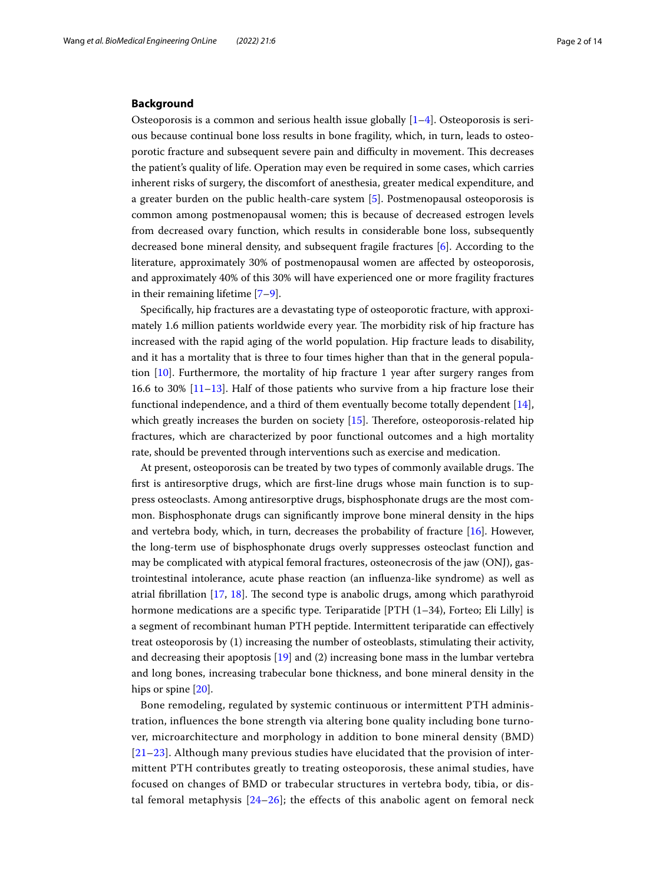## **Background**

Osteoporosis is a common and serious health issue globally  $[1-4]$  $[1-4]$  $[1-4]$ . Osteoporosis is serious because continual bone loss results in bone fragility, which, in turn, leads to osteoporotic fracture and subsequent severe pain and difficulty in movement. This decreases the patient's quality of life. Operation may even be required in some cases, which carries inherent risks of surgery, the discomfort of anesthesia, greater medical expenditure, and a greater burden on the public health-care system [[5\]](#page-11-2). Postmenopausal osteoporosis is common among postmenopausal women; this is because of decreased estrogen levels from decreased ovary function, which results in considerable bone loss, subsequently decreased bone mineral density, and subsequent fragile fractures [[6\]](#page-11-3). According to the literature, approximately 30% of postmenopausal women are afected by osteoporosis, and approximately 40% of this 30% will have experienced one or more fragility fractures in their remaining lifetime [\[7](#page-11-4)[–9](#page-11-5)].

Specifcally, hip fractures are a devastating type of osteoporotic fracture, with approximately 1.6 million patients worldwide every year. The morbidity risk of hip fracture has increased with the rapid aging of the world population. Hip fracture leads to disability, and it has a mortality that is three to four times higher than that in the general population [[10\]](#page-11-6). Furthermore, the mortality of hip fracture 1 year after surgery ranges from 16.6 to 30%  $[11-13]$  $[11-13]$ . Half of those patients who survive from a hip fracture lose their functional independence, and a third of them eventually become totally dependent [\[14](#page-11-9)], which greatly increases the burden on society  $[15]$  $[15]$ . Therefore, osteoporosis-related hip fractures, which are characterized by poor functional outcomes and a high mortality rate, should be prevented through interventions such as exercise and medication.

At present, osteoporosis can be treated by two types of commonly available drugs. The frst is antiresorptive drugs, which are frst-line drugs whose main function is to suppress osteoclasts. Among antiresorptive drugs, bisphosphonate drugs are the most common. Bisphosphonate drugs can signifcantly improve bone mineral density in the hips and vertebra body, which, in turn, decreases the probability of fracture [[16](#page-11-11)]. However, the long-term use of bisphosphonate drugs overly suppresses osteoclast function and may be complicated with atypical femoral fractures, osteonecrosis of the jaw (ONJ), gastrointestinal intolerance, acute phase reaction (an infuenza-like syndrome) as well as atrial fibrillation [\[17,](#page-11-12) [18](#page-11-13)]. The second type is anabolic drugs, among which parathyroid hormone medications are a specific type. Teriparatide  $[PTH (1–34)$ , Forteo; Eli Lilly] is a segment of recombinant human PTH peptide. Intermittent teriparatide can efectively treat osteoporosis by (1) increasing the number of osteoblasts, stimulating their activity, and decreasing their apoptosis  $[19]$  $[19]$  and  $(2)$  increasing bone mass in the lumbar vertebra and long bones, increasing trabecular bone thickness, and bone mineral density in the hips or spine [\[20](#page-12-0)].

Bone remodeling, regulated by systemic continuous or intermittent PTH administration, influences the bone strength via altering bone quality including bone turnover, microarchitecture and morphology in addition to bone mineral density (BMD) [[21](#page-12-1)[–23\]](#page-12-2). Although many previous studies have elucidated that the provision of intermittent PTH contributes greatly to treating osteoporosis, these animal studies, have focused on changes of BMD or trabecular structures in vertebra body, tibia, or distal femoral metaphysis [[24–](#page-12-3)[26](#page-12-4)]; the effects of this anabolic agent on femoral neck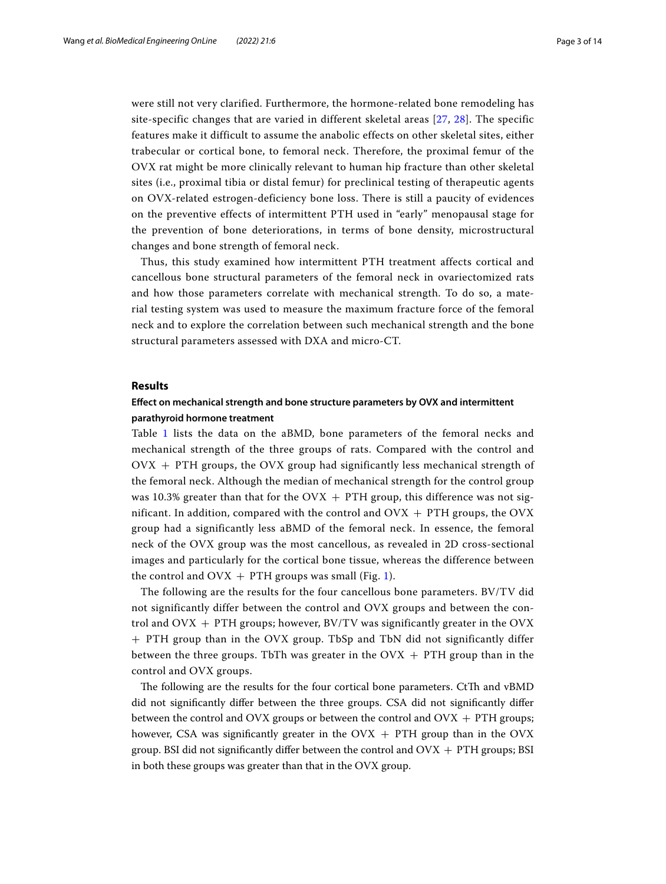were still not very clarified. Furthermore, the hormone-related bone remodeling has site-specific changes that are varied in different skeletal areas [\[27,](#page-12-5) [28](#page-12-6)]. The specific features make it difficult to assume the anabolic effects on other skeletal sites, either trabecular or cortical bone, to femoral neck. Therefore, the proximal femur of the OVX rat might be more clinically relevant to human hip fracture than other skeletal sites (i.e., proximal tibia or distal femur) for preclinical testing of therapeutic agents on OVX-related estrogen-deficiency bone loss. There is still a paucity of evidences on the preventive effects of intermittent PTH used in "early" menopausal stage for the prevention of bone deteriorations, in terms of bone density, microstructural changes and bone strength of femoral neck.

Thus, this study examined how intermittent PTH treatment affects cortical and cancellous bone structural parameters of the femoral neck in ovariectomized rats and how those parameters correlate with mechanical strength. To do so, a material testing system was used to measure the maximum fracture force of the femoral neck and to explore the correlation between such mechanical strength and the bone structural parameters assessed with DXA and micro-CT.

### **Results**

# **Efect on mechanical strength and bone structure parameters by OVX and intermittent parathyroid hormone treatment**

Table [1](#page-3-0) lists the data on the aBMD, bone parameters of the femoral necks and mechanical strength of the three groups of rats. Compared with the control and  $OVK + PTH$  groups, the  $OVK$  group had significantly less mechanical strength of the femoral neck. Although the median of mechanical strength for the control group was 10.3% greater than that for the  $\rm OUX$  + PTH group, this difference was not significant. In addition, compared with the control and  $OVK + PTH$  groups, the  $OVK$ group had a significantly less aBMD of the femoral neck. In essence, the femoral neck of the OVX group was the most cancellous, as revealed in 2D cross-sectional images and particularly for the cortical bone tissue, whereas the difference between the control and  $OVK + PTH$  groups was small (Fig. [1](#page-4-0)).

The following are the results for the four cancellous bone parameters. BV/TV did not significantly differ between the control and OVX groups and between the control and  $OVK + PTH$  groups; however,  $BV/TV$  was significantly greater in the  $OVK$ + PTH group than in the OVX group. TbSp and TbN did not significantly differ between the three groups. TbTh was greater in the  $O(VX + PTH$  group than in the control and OVX groups.

The following are the results for the four cortical bone parameters. CtTh and vBMD did not signifcantly difer between the three groups. CSA did not signifcantly difer between the control and OVX groups or between the control and  $O<sup>2</sup>$  + PTH groups; however, CSA was significantly greater in the OVX  $+$  PTH group than in the OVX group. BSI did not significantly differ between the control and  $OVK + PTH$  groups; BSI in both these groups was greater than that in the OVX group.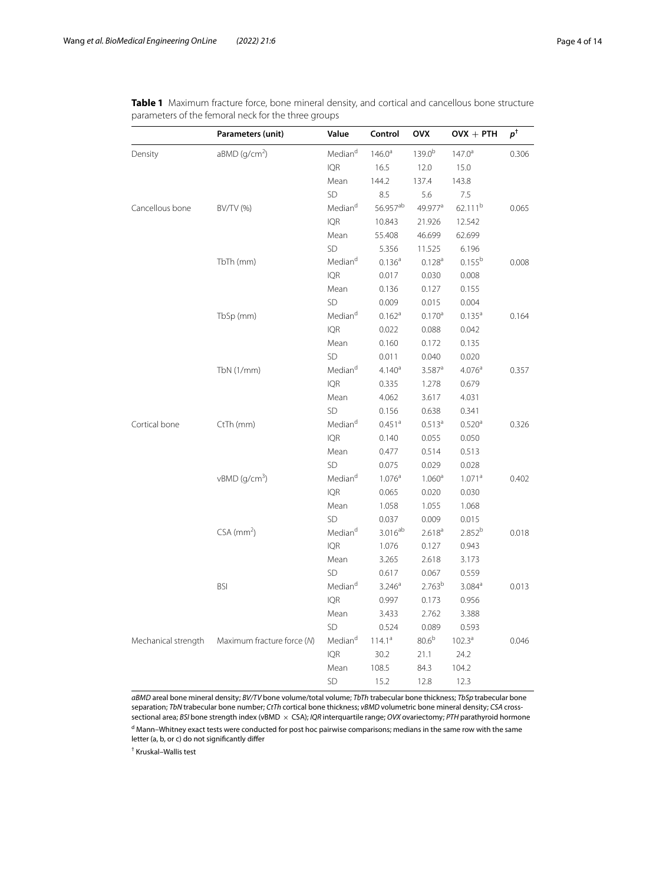|                     | Parameters (unit)           | Value               | Control              | OVX                  | $O\mathsf{V}\mathsf{X} + \mathsf{PTH}$ | $p^{\dagger}$ |
|---------------------|-----------------------------|---------------------|----------------------|----------------------|----------------------------------------|---------------|
| Density             | aBMD (g/cm <sup>2</sup> )   | Median <sup>d</sup> | $146.0^{\circ}$      | $139.0^{b}$          | $147.0^a$                              | 0.306         |
|                     |                             | <b>IQR</b>          | 16.5                 | 12.0                 | 15.0                                   |               |
|                     |                             | Mean                | 144.2                | 137.4                | 143.8                                  |               |
|                     |                             | SD                  | 8.5                  | 5.6                  | 7.5                                    |               |
| Cancellous bone     | BV/TV (%)                   | Median <sup>d</sup> | 56.957ab             | 49.977 <sup>a</sup>  | 62.111 <sup>b</sup>                    | 0.065         |
|                     |                             | <b>IQR</b>          | 10.843               | 21.926               | 12.542                                 |               |
|                     |                             | Mean                | 55.408               | 46.699               | 62.699                                 |               |
|                     |                             | SD                  | 5.356                | 11.525               | 6.196                                  |               |
|                     | TbTh (mm)                   | Median <sup>d</sup> | 0.136 <sup>a</sup>   | 0.128 <sup>a</sup>   | $0.155^{b}$                            | 0.008         |
|                     |                             | <b>IQR</b>          | 0.017                | 0.030                | 0.008                                  |               |
|                     |                             | Mean                | 0.136                | 0.127                | 0.155                                  |               |
|                     |                             | SD                  | 0.009                | 0.015                | 0.004                                  |               |
|                     | TbSp (mm)                   | Median <sup>d</sup> | 0.162 <sup>a</sup>   | 0.170 <sup>a</sup>   | $0.135^{a}$                            | 0.164         |
|                     |                             | <b>IQR</b>          | 0.022                | 0.088                | 0.042                                  |               |
|                     |                             | Mean                | 0.160                | 0.172                | 0.135                                  |               |
|                     |                             | SD                  | 0.011                | 0.040                | 0.020                                  |               |
|                     | TbN(1/mm)                   | Median <sup>d</sup> | 4.140 <sup>a</sup>   | $3.587$ <sup>a</sup> | $4.076^{a}$                            | 0.357         |
|                     |                             | <b>IQR</b>          | 0.335                | 1.278                | 0.679                                  |               |
|                     |                             | Mean                | 4.062                | 3.617                | 4.031                                  |               |
|                     |                             | SD                  | 0.156                | 0.638                | 0.341                                  |               |
| Cortical bone       | CtTh (mm)                   | Median <sup>d</sup> | $0.451$ <sup>a</sup> | $0.513^{a}$          | 0.520 <sup>a</sup>                     | 0.326         |
|                     |                             | <b>IQR</b>          | 0.140                | 0.055                | 0.050                                  |               |
|                     |                             | Mean                | 0.477                | 0.514                | 0.513                                  |               |
|                     |                             | SD                  | 0.075                | 0.029                | 0.028                                  |               |
|                     | $vBMD$ (g/cm <sup>3</sup> ) | Median <sup>d</sup> | $1.076^{a}$          | 1.060 <sup>a</sup>   | 1.071 <sup>a</sup>                     | 0.402         |
|                     |                             | <b>IQR</b>          | 0.065                | 0.020                | 0.030                                  |               |
|                     |                             | Mean                | 1.058                | 1.055                | 1.068                                  |               |
|                     |                             | SD                  | 0.037                | 0.009                | 0.015                                  |               |
|                     | $CSA$ (mm <sup>2</sup> )    | Median <sup>d</sup> | $3.016^{ab}$         | 2.618 <sup>a</sup>   | 2.852 <sup>b</sup>                     | 0.018         |
|                     |                             | <b>IQR</b>          | 1.076                | 0.127                | 0.943                                  |               |
|                     |                             | Mean                | 3.265                | 2.618                | 3.173                                  |               |
|                     |                             | SD                  | 0.617                | 0.067                | 0.559                                  |               |
|                     | <b>BSI</b>                  | Median <sup>d</sup> | 3.246 <sup>a</sup>   | 2.763 <sup>b</sup>   | $3.084^{a}$                            | 0.013         |
|                     |                             | <b>IQR</b>          | 0.997                | 0.173                | 0.956                                  |               |
|                     |                             | Mean                | 3.433                | 2.762                | 3.388                                  |               |
|                     |                             | SD                  | 0.524                | 0.089                | 0.593                                  |               |
| Mechanical strength | Maximum fracture force (N)  | Median <sup>d</sup> | $114.1^{\circ}$      | 80.6 <sup>b</sup>    | $102.3^{\text{a}}$                     | 0.046         |
|                     |                             | <b>IQR</b>          | 30.2                 | 21.1                 | 24.2                                   |               |
|                     |                             | Mean                | 108.5                | 84.3                 | 104.2                                  |               |
|                     |                             | <b>SD</b>           | 15.2                 | 12.8                 | 12.3                                   |               |

<span id="page-3-0"></span>**Table 1** Maximum fracture force, bone mineral density, and cortical and cancellous bone structure parameters of the femoral neck for the three groups

*aBMD* areal bone mineral density; *BV/TV* bone volume/total volume; *TbTh* trabecular bone thickness; *TbSp* trabecular bone separation; *TbN* trabecular bone number; *CtTh* cortical bone thickness; *vBMD* volumetric bone mineral density; *CSA* crosssectional area; *BSI* bone strength index (vBMD × CSA); *IQR* interquartile range; *OVX* ovariectomy; *PTH* parathyroid hormone

d Mann–Whitney exact tests were conducted for post hoc pairwise comparisons; medians in the same row with the same letter (a, b, or c) do not significantly differ

† Kruskal–Wallis test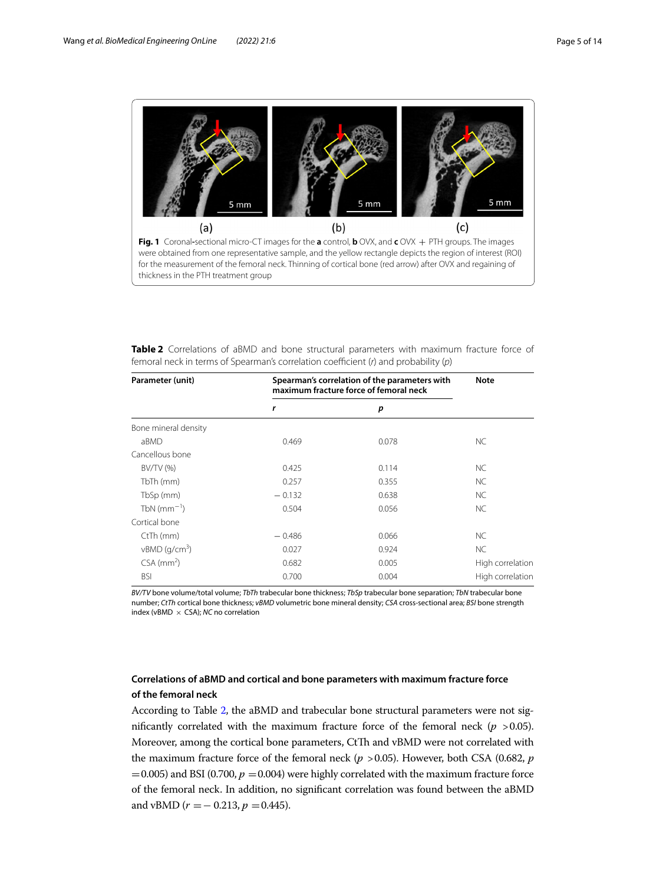

<span id="page-4-1"></span><span id="page-4-0"></span>

| Table 2 Correlations of aBMD and bone structural parameters with maximum fracture force of |  |  |  |  |  |
|--------------------------------------------------------------------------------------------|--|--|--|--|--|
| femoral neck in terms of Spearman's correlation coefficient $(r)$ and probability $(p)$    |  |  |  |  |  |

| Parameter (unit)            | Spearman's correlation of the parameters with<br>maximum fracture force of femoral neck | <b>Note</b> |                  |  |
|-----------------------------|-----------------------------------------------------------------------------------------|-------------|------------------|--|
|                             | r                                                                                       | p           |                  |  |
| Bone mineral density        |                                                                                         |             |                  |  |
| aBMD                        | 0.469                                                                                   | 0.078       | NC.              |  |
| Cancellous bone             |                                                                                         |             |                  |  |
| BV/TV (%)                   | 0.425                                                                                   | 0.114       | <b>NC</b>        |  |
| TbTh (mm)                   | 0.257                                                                                   | 0.355       | NC               |  |
| TbSp (mm)                   | $-0.132$                                                                                | 0.638       | <b>NC</b>        |  |
| TbN $(mm^{-1})$             | 0.504                                                                                   | 0.056       | <b>NC</b>        |  |
| Cortical bone               |                                                                                         |             |                  |  |
| CtTh (mm)                   | $-0.486$                                                                                | 0.066       | <b>NC</b>        |  |
| $vBMD$ (g/cm <sup>3</sup> ) | 0.027                                                                                   | 0.924       | <b>NC</b>        |  |
| $CSA$ (mm <sup>2</sup> )    | 0.682                                                                                   | 0.005       | High correlation |  |
| <b>BSI</b>                  | 0.700                                                                                   | 0.004       | High correlation |  |

*BV/TV* bone volume/total volume; *TbTh* trabecular bone thickness; *TbSp* trabecular bone separation; *TbN* trabecular bone number; *CtTh* cortical bone thickness; *vBMD* volumetric bone mineral density; *CSA* cross-sectional area; *BSI* bone strength index (vBMD × CSA); *NC* no correlation

# **Correlations of aBMD and cortical and bone parameters with maximum fracture force of the femoral neck**

According to Table [2](#page-4-1), the aBMD and trabecular bone structural parameters were not significantly correlated with the maximum fracture force of the femoral neck  $(p > 0.05)$ . Moreover, among the cortical bone parameters, CtTh and vBMD were not correlated with the maximum fracture force of the femoral neck (*p* >0.05). However, both CSA (0.682, *p*  $=0.005$ ) and BSI (0.700,  $p = 0.004$ ) were highly correlated with the maximum fracture force of the femoral neck. In addition, no signifcant correlation was found between the aBMD and vBMD ( $r = -0.213$ ,  $p = 0.445$ ).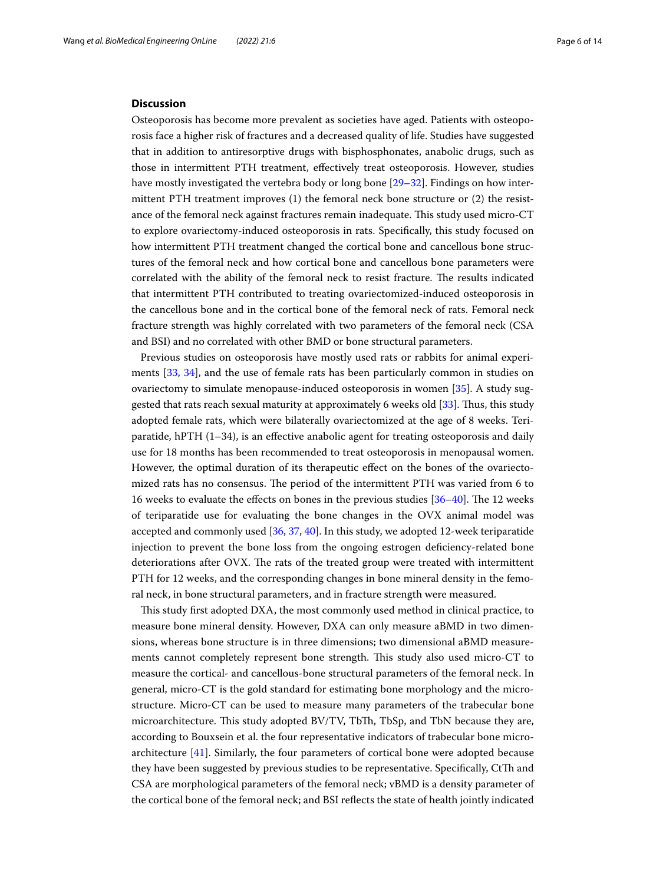#### **Discussion**

Osteoporosis has become more prevalent as societies have aged. Patients with osteoporosis face a higher risk of fractures and a decreased quality of life. Studies have suggested that in addition to antiresorptive drugs with bisphosphonates, anabolic drugs, such as those in intermittent PTH treatment, efectively treat osteoporosis. However, studies have mostly investigated the vertebra body or long bone [\[29](#page-12-7)[–32](#page-12-8)]. Findings on how intermittent PTH treatment improves (1) the femoral neck bone structure or (2) the resistance of the femoral neck against fractures remain inadequate. This study used micro-CT to explore ovariectomy-induced osteoporosis in rats. Specifcally, this study focused on how intermittent PTH treatment changed the cortical bone and cancellous bone structures of the femoral neck and how cortical bone and cancellous bone parameters were correlated with the ability of the femoral neck to resist fracture. The results indicated that intermittent PTH contributed to treating ovariectomized-induced osteoporosis in the cancellous bone and in the cortical bone of the femoral neck of rats. Femoral neck fracture strength was highly correlated with two parameters of the femoral neck (CSA and BSI) and no correlated with other BMD or bone structural parameters.

Previous studies on osteoporosis have mostly used rats or rabbits for animal experiments [\[33](#page-12-9), [34](#page-12-10)], and the use of female rats has been particularly common in studies on ovariectomy to simulate menopause-induced osteoporosis in women [\[35](#page-12-11)]. A study suggested that rats reach sexual maturity at approximately 6 weeks old [[33\]](#page-12-9). Tus, this study adopted female rats, which were bilaterally ovariectomized at the age of 8 weeks. Teriparatide, hPTH  $(1–34)$ , is an effective anabolic agent for treating osteoporosis and daily use for 18 months has been recommended to treat osteoporosis in menopausal women. However, the optimal duration of its therapeutic efect on the bones of the ovariectomized rats has no consensus. The period of the intermittent PTH was varied from 6 to 16 weeks to evaluate the effects on bones in the previous studies [[36](#page-12-12)[–40](#page-12-13)]. The 12 weeks of teriparatide use for evaluating the bone changes in the OVX animal model was accepted and commonly used [[36,](#page-12-12) [37,](#page-12-14) [40](#page-12-13)]. In this study, we adopted 12-week teriparatide injection to prevent the bone loss from the ongoing estrogen defciency-related bone deteriorations after OVX. The rats of the treated group were treated with intermittent PTH for 12 weeks, and the corresponding changes in bone mineral density in the femoral neck, in bone structural parameters, and in fracture strength were measured.

Tis study frst adopted DXA, the most commonly used method in clinical practice, to measure bone mineral density. However, DXA can only measure aBMD in two dimensions, whereas bone structure is in three dimensions; two dimensional aBMD measurements cannot completely represent bone strength. This study also used micro-CT to measure the cortical- and cancellous-bone structural parameters of the femoral neck. In general, micro-CT is the gold standard for estimating bone morphology and the microstructure. Micro-CT can be used to measure many parameters of the trabecular bone microarchitecture. This study adopted BV/TV, TbTh, TbSp, and TbN because they are, according to Bouxsein et al. the four representative indicators of trabecular bone microarchitecture [\[41](#page-12-15)]. Similarly, the four parameters of cortical bone were adopted because they have been suggested by previous studies to be representative. Specifically, CtTh and CSA are morphological parameters of the femoral neck; vBMD is a density parameter of the cortical bone of the femoral neck; and BSI refects the state of health jointly indicated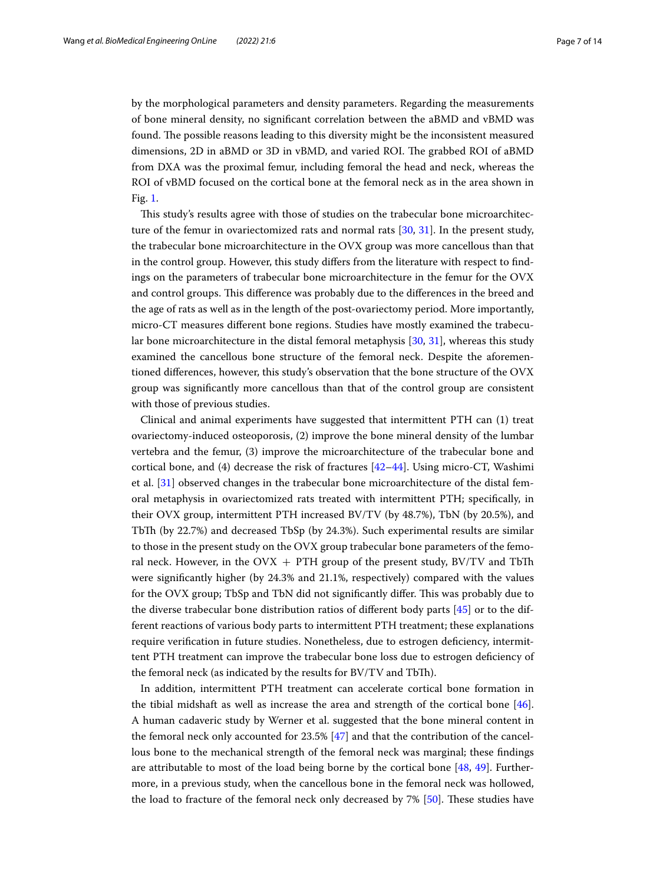by the morphological parameters and density parameters. Regarding the measurements of bone mineral density, no signifcant correlation between the aBMD and vBMD was found. The possible reasons leading to this diversity might be the inconsistent measured dimensions, 2D in aBMD or 3D in vBMD, and varied ROI. The grabbed ROI of aBMD from DXA was the proximal femur, including femoral the head and neck, whereas the ROI of vBMD focused on the cortical bone at the femoral neck as in the area shown in Fig. [1.](#page-4-0)

This study's results agree with those of studies on the trabecular bone microarchitecture of the femur in ovariectomized rats and normal rats [[30](#page-12-16), [31](#page-12-17)]. In the present study, the trabecular bone microarchitecture in the OVX group was more cancellous than that in the control group. However, this study difers from the literature with respect to fndings on the parameters of trabecular bone microarchitecture in the femur for the OVX and control groups. Tis diference was probably due to the diferences in the breed and the age of rats as well as in the length of the post-ovariectomy period. More importantly, micro-CT measures diferent bone regions. Studies have mostly examined the trabecular bone microarchitecture in the distal femoral metaphysis [[30](#page-12-16), [31](#page-12-17)], whereas this study examined the cancellous bone structure of the femoral neck. Despite the aforementioned diferences, however, this study's observation that the bone structure of the OVX group was signifcantly more cancellous than that of the control group are consistent with those of previous studies.

Clinical and animal experiments have suggested that intermittent PTH can (1) treat ovariectomy-induced osteoporosis, (2) improve the bone mineral density of the lumbar vertebra and the femur, (3) improve the microarchitecture of the trabecular bone and cortical bone, and  $(4)$  decrease the risk of fractures  $[42–44]$  $[42–44]$ . Using micro-CT, Washimi et al. [[31](#page-12-17)] observed changes in the trabecular bone microarchitecture of the distal femoral metaphysis in ovariectomized rats treated with intermittent PTH; specifcally, in their OVX group, intermittent PTH increased BV/TV (by 48.7%), TbN (by 20.5%), and TbTh (by 22.7%) and decreased TbSp (by 24.3%). Such experimental results are similar to those in the present study on the OVX group trabecular bone parameters of the femoral neck. However, in the OVX  $+$  PTH group of the present study, BV/TV and TbTh were signifcantly higher (by 24.3% and 21.1%, respectively) compared with the values for the OVX group; TbSp and TbN did not signifcantly difer. Tis was probably due to the diverse trabecular bone distribution ratios of diferent body parts [[45](#page-12-20)] or to the different reactions of various body parts to intermittent PTH treatment; these explanations require verifcation in future studies. Nonetheless, due to estrogen defciency, intermittent PTH treatment can improve the trabecular bone loss due to estrogen defciency of the femoral neck (as indicated by the results for BV/TV and TbT).

In addition, intermittent PTH treatment can accelerate cortical bone formation in the tibial midshaft as well as increase the area and strength of the cortical bone [\[46](#page-12-21)]. A human cadaveric study by Werner et al. suggested that the bone mineral content in the femoral neck only accounted for 23.5% [\[47\]](#page-12-22) and that the contribution of the cancellous bone to the mechanical strength of the femoral neck was marginal; these fndings are attributable to most of the load being borne by the cortical bone [[48,](#page-12-23) [49\]](#page-12-24). Furthermore, in a previous study, when the cancellous bone in the femoral neck was hollowed, the load to fracture of the femoral neck only decreased by 7% [[50\]](#page-13-0). These studies have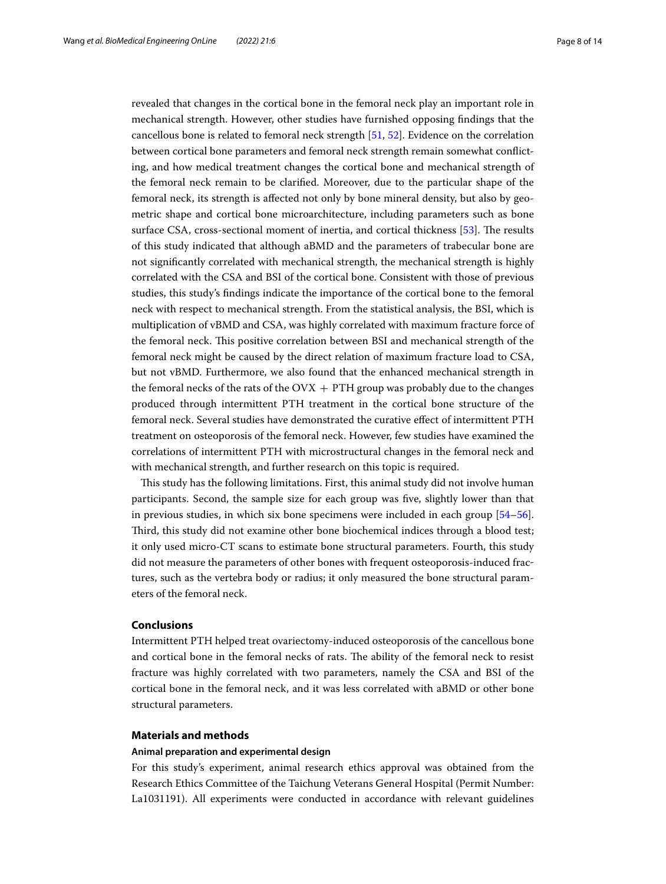revealed that changes in the cortical bone in the femoral neck play an important role in mechanical strength. However, other studies have furnished opposing fndings that the cancellous bone is related to femoral neck strength [\[51](#page-13-1), [52\]](#page-13-2). Evidence on the correlation between cortical bone parameters and femoral neck strength remain somewhat conficting, and how medical treatment changes the cortical bone and mechanical strength of the femoral neck remain to be clarifed. Moreover, due to the particular shape of the femoral neck, its strength is afected not only by bone mineral density, but also by geometric shape and cortical bone microarchitecture, including parameters such as bone surface CSA, cross-sectional moment of inertia, and cortical thickness [\[53](#page-13-3)]. The results of this study indicated that although aBMD and the parameters of trabecular bone are not signifcantly correlated with mechanical strength, the mechanical strength is highly correlated with the CSA and BSI of the cortical bone. Consistent with those of previous studies, this study's fndings indicate the importance of the cortical bone to the femoral neck with respect to mechanical strength. From the statistical analysis, the BSI, which is multiplication of vBMD and CSA, was highly correlated with maximum fracture force of the femoral neck. Tis positive correlation between BSI and mechanical strength of the femoral neck might be caused by the direct relation of maximum fracture load to CSA, but not vBMD. Furthermore, we also found that the enhanced mechanical strength in the femoral necks of the rats of the  $OVK + PTH$  group was probably due to the changes produced through intermittent PTH treatment in the cortical bone structure of the femoral neck. Several studies have demonstrated the curative efect of intermittent PTH treatment on osteoporosis of the femoral neck. However, few studies have examined the correlations of intermittent PTH with microstructural changes in the femoral neck and with mechanical strength, and further research on this topic is required.

This study has the following limitations. First, this animal study did not involve human participants. Second, the sample size for each group was fve, slightly lower than that in previous studies, in which six bone specimens were included in each group [[54](#page-13-4)[–56](#page-13-5)]. Third, this study did not examine other bone biochemical indices through a blood test; it only used micro-CT scans to estimate bone structural parameters. Fourth, this study did not measure the parameters of other bones with frequent osteoporosis-induced fractures, such as the vertebra body or radius; it only measured the bone structural parameters of the femoral neck.

## **Conclusions**

Intermittent PTH helped treat ovariectomy-induced osteoporosis of the cancellous bone and cortical bone in the femoral necks of rats. The ability of the femoral neck to resist fracture was highly correlated with two parameters, namely the CSA and BSI of the cortical bone in the femoral neck, and it was less correlated with aBMD or other bone structural parameters.

# **Materials and methods**

## **Animal preparation and experimental design**

For this study's experiment, animal research ethics approval was obtained from the Research Ethics Committee of the Taichung Veterans General Hospital (Permit Number: La1031191). All experiments were conducted in accordance with relevant guidelines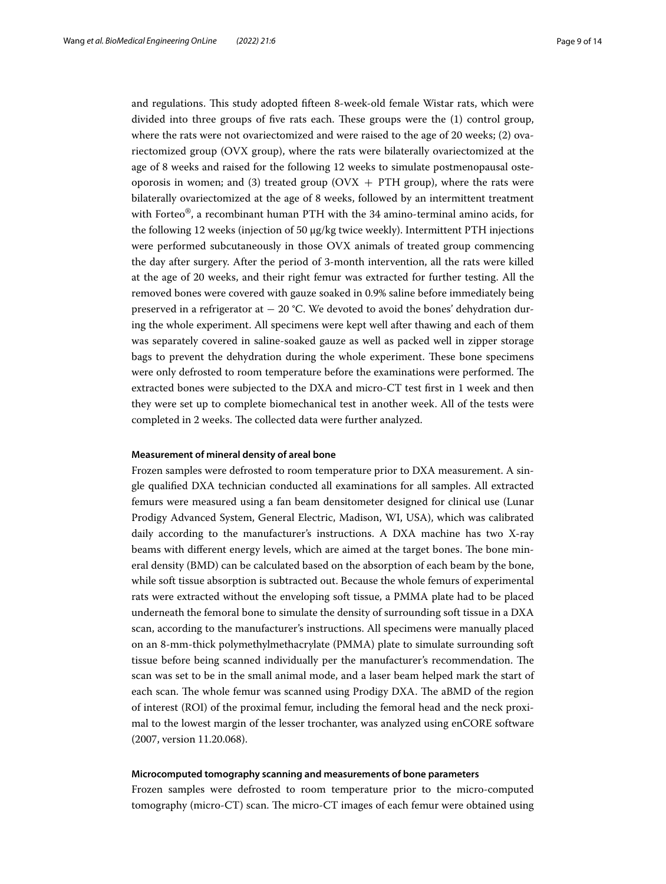and regulations. Tis study adopted ffteen 8-week-old female Wistar rats, which were divided into three groups of five rats each. These groups were the  $(1)$  control group, where the rats were not ovariectomized and were raised to the age of 20 weeks; (2) ovariectomized group (OVX group), where the rats were bilaterally ovariectomized at the age of 8 weeks and raised for the following 12 weeks to simulate postmenopausal osteoporosis in women; and (3) treated group ( $\text{OVX} + \text{PTH}$  group), where the rats were bilaterally ovariectomized at the age of 8 weeks, followed by an intermittent treatment with Forteo<sup>®</sup>, a recombinant human PTH with the 34 amino-terminal amino acids, for the following 12 weeks (injection of 50 μg/kg twice weekly). Intermittent PTH injections were performed subcutaneously in those OVX animals of treated group commencing the day after surgery. After the period of 3-month intervention, all the rats were killed at the age of 20 weeks, and their right femur was extracted for further testing. All the removed bones were covered with gauze soaked in 0.9% saline before immediately being preserved in a refrigerator at  $-$  20 °C. We devoted to avoid the bones' dehydration during the whole experiment. All specimens were kept well after thawing and each of them was separately covered in saline-soaked gauze as well as packed well in zipper storage bags to prevent the dehydration during the whole experiment. These bone specimens were only defrosted to room temperature before the examinations were performed. The extracted bones were subjected to the DXA and micro-CT test frst in 1 week and then they were set up to complete biomechanical test in another week. All of the tests were completed in 2 weeks. The collected data were further analyzed.

#### **Measurement of mineral density of areal bone**

Frozen samples were defrosted to room temperature prior to DXA measurement. A single qualifed DXA technician conducted all examinations for all samples. All extracted femurs were measured using a fan beam densitometer designed for clinical use (Lunar Prodigy Advanced System, General Electric, Madison, WI, USA), which was calibrated daily according to the manufacturer's instructions. A DXA machine has two X-ray beams with different energy levels, which are aimed at the target bones. The bone mineral density (BMD) can be calculated based on the absorption of each beam by the bone, while soft tissue absorption is subtracted out. Because the whole femurs of experimental rats were extracted without the enveloping soft tissue, a PMMA plate had to be placed underneath the femoral bone to simulate the density of surrounding soft tissue in a DXA scan, according to the manufacturer's instructions. All specimens were manually placed on an 8-mm-thick polymethylmethacrylate (PMMA) plate to simulate surrounding soft tissue before being scanned individually per the manufacturer's recommendation. The scan was set to be in the small animal mode, and a laser beam helped mark the start of each scan. The whole femur was scanned using Prodigy DXA. The aBMD of the region of interest (ROI) of the proximal femur, including the femoral head and the neck proximal to the lowest margin of the lesser trochanter, was analyzed using enCORE software (2007, version 11.20.068).

#### **Microcomputed tomography scanning and measurements of bone parameters**

Frozen samples were defrosted to room temperature prior to the micro-computed tomography (micro-CT) scan. The micro-CT images of each femur were obtained using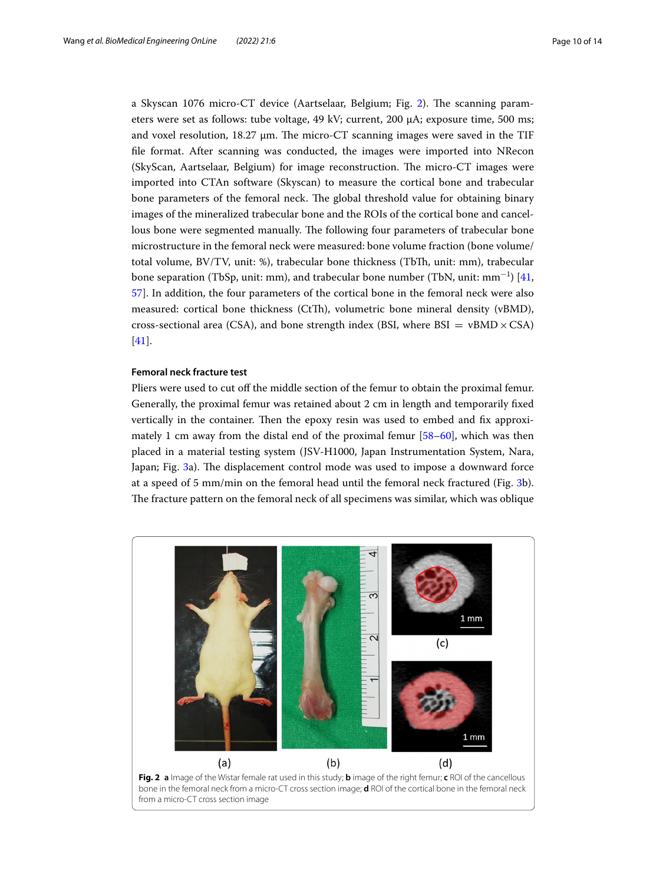a Skyscan 1076 micro-CT device (Aartselaar, Belgium; Fig. [2](#page-9-0)). The scanning parameters were set as follows: tube voltage, 49 kV; current, 200 μA; exposure time, 500 ms; and voxel resolution,  $18.27 \mu m$ . The micro-CT scanning images were saved in the TIF fle format. After scanning was conducted, the images were imported into NRecon (SkyScan, Aartselaar, Belgium) for image reconstruction. The micro-CT images were imported into CTAn software (Skyscan) to measure the cortical bone and trabecular bone parameters of the femoral neck. The global threshold value for obtaining binary images of the mineralized trabecular bone and the ROIs of the cortical bone and cancellous bone were segmented manually. The following four parameters of trabecular bone microstructure in the femoral neck were measured: bone volume fraction (bone volume/ total volume, BV/TV, unit: %), trabecular bone thickness (TbTh, unit: mm), trabecular bone separation (TbSp, unit: mm), and trabecular bone number (TbN, unit: mm<sup>−1</sup>) [[41](#page-12-15), [57](#page-13-6)]. In addition, the four parameters of the cortical bone in the femoral neck were also measured: cortical bone thickness (CtTh), volumetric bone mineral density (vBMD), cross-sectional area (CSA), and bone strength index (BSI, where  $BSI = vBMD \times CSA$ ) [[41\]](#page-12-15).

## **Femoral neck fracture test**

Pliers were used to cut off the middle section of the femur to obtain the proximal femur. Generally, the proximal femur was retained about 2 cm in length and temporarily fxed vertically in the container. Then the epoxy resin was used to embed and fix approximately 1 cm away from the distal end of the proximal femur [\[58–](#page-13-7)[60\]](#page-13-8), which was then placed in a material testing system (JSV-H1000, Japan Instrumentation System, Nara, Japan; Fig. [3a](#page-10-0)). The displacement control mode was used to impose a downward force at a speed of 5 mm/min on the femoral head until the femoral neck fractured (Fig. [3](#page-10-0)b). The fracture pattern on the femoral neck of all specimens was similar, which was oblique

<span id="page-9-0"></span>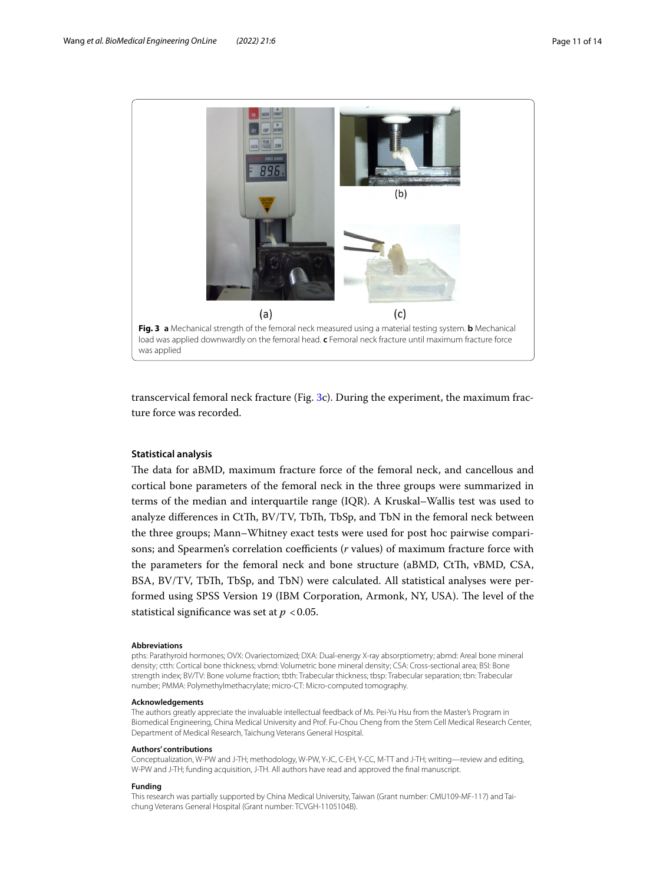

<span id="page-10-0"></span>transcervical femoral neck fracture (Fig. [3](#page-10-0)c). During the experiment, the maximum fracture force was recorded.

## **Statistical analysis**

The data for aBMD, maximum fracture force of the femoral neck, and cancellous and cortical bone parameters of the femoral neck in the three groups were summarized in terms of the median and interquartile range (IQR). A Kruskal–Wallis test was used to analyze differences in CtTh, BV/TV, TbTh, TbSp, and TbN in the femoral neck between the three groups; Mann–Whitney exact tests were used for post hoc pairwise comparisons; and Spearmen's correlation coefficients (*r* values) of maximum fracture force with the parameters for the femoral neck and bone structure (aBMD, CtTh, vBMD, CSA, BSA, BV/TV, TbTh, TbSp, and TbN) were calculated. All statistical analyses were performed using SPSS Version 19 (IBM Corporation, Armonk, NY, USA). The level of the statistical significance was set at  $p < 0.05$ .

#### **Abbreviations**

pths: Parathyroid hormones; OVX: Ovariectomized; DXA: Dual-energy X-ray absorptiometry; abmd: Areal bone mineral density; ctth: Cortical bone thickness; vbmd: Volumetric bone mineral density; CSA: Cross-sectional area; BSI: Bone strength index; BV/TV: Bone volume fraction; tbth: Trabecular thickness; tbsp: Trabecular separation; tbn: Trabecular number; PMMA: Polymethylmethacrylate; micro-CT: Micro-computed tomography.

#### **Acknowledgements**

The authors greatly appreciate the invaluable intellectual feedback of Ms. Pei-Yu Hsu from the Master's Program in Biomedical Engineering, China Medical University and Prof. Fu-Chou Cheng from the Stem Cell Medical Research Center, Department of Medical Research, Taichung Veterans General Hospital.

#### **Authors' contributions**

Conceptualization, W-PW and J-TH; methodology, W-PW, Y-JC, C-EH, Y-CC, M-TT and J-TH; writing—review and editing, W-PW and J-TH; funding acquisition, J-TH. All authors have read and approved the fnal manuscript.

#### **Funding**

This research was partially supported by China Medical University, Taiwan (Grant number: CMU109-MF-117) and Taichung Veterans General Hospital (Grant number: TCVGH-1105104B).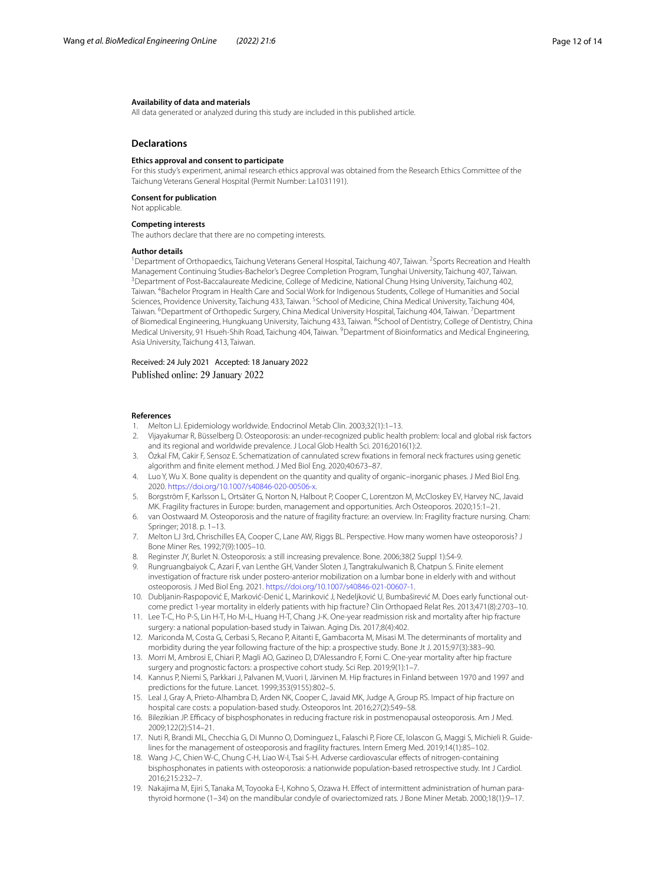#### **Availability of data and materials**

All data generated or analyzed during this study are included in this published article.

#### **Declarations**

## **Ethics approval and consent to participate**

For this study's experiment, animal research ethics approval was obtained from the Research Ethics Committee of the Taichung Veterans General Hospital (Permit Number: La1031191).

#### **Consent for publication**

Not applicable.

#### **Competing interests**

The authors declare that there are no competing interests.

#### **Author details**

<sup>1</sup> Department of Orthopaedics, Taichung Veterans General Hospital, Taichung 407, Taiwan. <sup>2</sup> Sports Recreation and Health Management Continuing Studies‑Bachelor's Degree Completion Program, Tunghai University, Taichung 407, Taiwan. 3 <sup>3</sup> Department of Post-Baccalaureate Medicine, College of Medicine, National Chung Hsing University, Taichung 402, Taiwan. 4 Bachelor Program in Health Care and Social Work for Indigenous Students, College of Humanities and Social Sciences, Providence University, Taichung 433, Taiwan. <sup>5</sup>School of Medicine, China Medical University, Taichung 404, Taiwan. <sup>6</sup>Department of Orthopedic Surgery, China Medical University Hospital, Taichung 404, Taiwan. <sup>7</sup>Department of Biomedical Engineering, Hungkuang University, Taichung 433, Taiwan. <sup>8</sup>School of Dentistry, College of Dentistry, China Medical University, 91 Hsueh-Shih Road, Taichung 404, Taiwan. <sup>9</sup> Department of Bioinformatics and Medical Engineering, Asia University, Taichung 413, Taiwan.

Received: 24 July 2021 Accepted: 18 January 2022 Published online: 29 January 2022

#### **References**

- <span id="page-11-0"></span>1. Melton LJ. Epidemiology worldwide. Endocrinol Metab Clin. 2003;32(1):1–13.
- 2. Vijayakumar R, Büsselberg D. Osteoporosis: an under-recognized public health problem: local and global risk factors and its regional and worldwide prevalence. J Local Glob Health Sci. 2016;2016(1):2.
- 3. Özkal FM, Cakir F, Sensoz E. Schematization of cannulated screw fxations in femoral neck fractures using genetic algorithm and fnite element method. J Med Biol Eng. 2020;40:673–87.
- <span id="page-11-1"></span>4. Luo Y, Wu X. Bone quality is dependent on the quantity and quality of organic–inorganic phases. J Med Biol Eng. 2020.<https://doi.org/10.1007/s40846-020-00506-x>.
- <span id="page-11-2"></span>5. Borgström F, Karlsson L, Ortsäter G, Norton N, Halbout P, Cooper C, Lorentzon M, McCloskey EV, Harvey NC, Javaid MK. Fragility fractures in Europe: burden, management and opportunities. Arch Osteoporos. 2020;15:1–21.
- <span id="page-11-3"></span>6. van Oostwaard M. Osteoporosis and the nature of fragility fracture: an overview. In: Fragility fracture nursing. Cham: Springer; 2018. p. 1–13.
- <span id="page-11-4"></span>7. Melton LJ 3rd, Chrischilles EA, Cooper C, Lane AW, Riggs BL. Perspective. How many women have osteoporosis? J Bone Miner Res. 1992;7(9):1005–10.
- 8. Reginster JY, Burlet N. Osteoporosis: a still increasing prevalence. Bone. 2006;38(2 Suppl 1):S4-9.
- <span id="page-11-5"></span>9. Rungruangbaiyok C, Azari F, van Lenthe GH, Vander Sloten J, Tangtrakulwanich B, Chatpun S. Finite element investigation of fracture risk under postero-anterior mobilization on a lumbar bone in elderly with and without osteoporosis. J Med Biol Eng. 2021. <https://doi.org/10.1007/s40846-021-00607-1>.
- <span id="page-11-6"></span>10. Dubljanin-Raspopović E, Marković-Denić L, Marinković J, Nedeljković U, Bumbaširević M. Does early functional out‑ come predict 1-year mortality in elderly patients with hip fracture? Clin Orthopaed Relat Res. 2013;471(8):2703–10.
- <span id="page-11-7"></span>11. Lee T-C, Ho P-S, Lin H-T, Ho M-L, Huang H-T, Chang J-K. One-year readmission risk and mortality after hip fracture surgery: a national population-based study in Taiwan. Aging Dis. 2017;8(4):402.
- 12. Mariconda M, Costa G, Cerbasi S, Recano P, Aitanti E, Gambacorta M, Misasi M. The determinants of mortality and morbidity during the year following fracture of the hip: a prospective study. Bone Jt J. 2015;97(3):383–90.
- <span id="page-11-8"></span>13. Morri M, Ambrosi E, Chiari P, Magli AO, Gazineo D, D'Alessandro F, Forni C. One-year mortality after hip fracture surgery and prognostic factors: a prospective cohort study. Sci Rep. 2019;9(1):1–7.
- <span id="page-11-9"></span>14. Kannus P, Niemi S, Parkkari J, Palvanen M, Vuori I, Järvinen M. Hip fractures in Finland between 1970 and 1997 and predictions for the future. Lancet. 1999;353(9155):802–5.
- <span id="page-11-10"></span>15. Leal J, Gray A, Prieto-Alhambra D, Arden NK, Cooper C, Javaid MK, Judge A, Group RS. Impact of hip fracture on hospital care costs: a population-based study. Osteoporos Int. 2016;27(2):549–58.
- <span id="page-11-11"></span>16. Bilezikian JP. Efcacy of bisphosphonates in reducing fracture risk in postmenopausal osteoporosis. Am J Med. 2009;122(2):S14–21.
- <span id="page-11-12"></span>17. Nuti R, Brandi ML, Checchia G, Di Munno O, Dominguez L, Falaschi P, Fiore CE, Iolascon G, Maggi S, Michieli R. Guidelines for the management of osteoporosis and fragility fractures. Intern Emerg Med. 2019;14(1):85–102.
- <span id="page-11-13"></span>18. Wang J-C, Chien W-C, Chung C-H, Liao W-I, Tsai S-H. Adverse cardiovascular efects of nitrogen-containing bisphosphonates in patients with osteoporosis: a nationwide population-based retrospective study. Int J Cardiol. 2016;215:232–7.
- <span id="page-11-14"></span>19. Nakajima M, Ejiri S, Tanaka M, Toyooka E-I, Kohno S, Ozawa H. Effect of intermittent administration of human parathyroid hormone (1–34) on the mandibular condyle of ovariectomized rats. J Bone Miner Metab. 2000;18(1):9–17.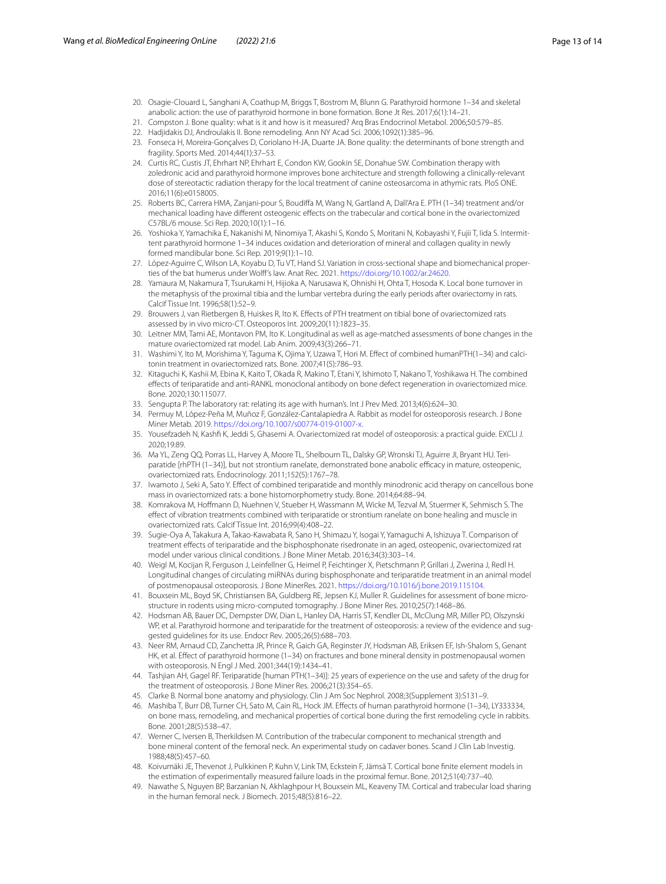- <span id="page-12-0"></span>20. Osagie-Clouard L, Sanghani A, Coathup M, Briggs T, Bostrom M, Blunn G. Parathyroid hormone 1–34 and skeletal anabolic action: the use of parathyroid hormone in bone formation. Bone Jt Res. 2017;6(1):14–21.
- <span id="page-12-1"></span>21. Compston J. Bone quality: what is it and how is it measured? Arq Bras Endocrinol Metabol. 2006;50:579–85.
- 22. Hadjidakis DJ, Androulakis II. Bone remodeling. Ann NY Acad Sci. 2006;1092(1):385–96.
- <span id="page-12-2"></span>23. Fonseca H, Moreira-Gonçalves D, Coriolano H-JA, Duarte JA. Bone quality: the determinants of bone strength and fragility. Sports Med. 2014;44(1):37–53.
- <span id="page-12-3"></span>24. Curtis RC, Custis JT, Ehrhart NP, Ehrhart E, Condon KW, Gookin SE, Donahue SW. Combination therapy with zoledronic acid and parathyroid hormone improves bone architecture and strength following a clinically-relevant dose of stereotactic radiation therapy for the local treatment of canine osteosarcoma in athymic rats. PloS ONE. 2016;11(6):e0158005.
- 25. Roberts BC, Carrera HMA, Zanjani-pour S, Boudifa M, Wang N, Gartland A, Dall'Ara E. PTH (1–34) treatment and/or mechanical loading have diferent osteogenic efects on the trabecular and cortical bone in the ovariectomized C57BL/6 mouse. Sci Rep. 2020;10(1):1–16.
- <span id="page-12-4"></span>26. Yoshioka Y, Yamachika E, Nakanishi M, Ninomiya T, Akashi S, Kondo S, Moritani N, Kobayashi Y, Fujii T, Iida S. Intermit‑ tent parathyroid hormone 1–34 induces oxidation and deterioration of mineral and collagen quality in newly formed mandibular bone. Sci Rep. 2019;9(1):1–10.
- <span id="page-12-5"></span>27. López-Aguirre C, Wilson LA, Koyabu D, Tu VT, Hand SJ. Variation in cross-sectional shape and biomechanical properties of the bat humerus under Wolf's law. Anat Rec. 2021. <https://doi.org/10.1002/ar.24620>.
- <span id="page-12-6"></span>28. Yamaura M, Nakamura T, Tsurukami H, Hijioka A, Narusawa K, Ohnishi H, Ohta T, Hosoda K. Local bone turnover in the metaphysis of the proximal tibia and the lumbar vertebra during the early periods after ovariectomy in rats. Calcif Tissue Int. 1996;58(1):52–9.
- <span id="page-12-7"></span>29. Brouwers J, van Rietbergen B, Huiskes R, Ito K. Efects of PTH treatment on tibial bone of ovariectomized rats assessed by in vivo micro-CT. Osteoporos Int. 2009;20(11):1823–35.
- <span id="page-12-16"></span>30. Leitner MM, Tami AE, Montavon PM, Ito K. Longitudinal as well as age-matched assessments of bone changes in the mature ovariectomized rat model. Lab Anim. 2009;43(3):266–71.
- <span id="page-12-17"></span>31. Washimi Y, Ito M, Morishima Y, Taguma K, Ojima Y, Uzawa T, Hori M. Effect of combined humanPTH(1-34) and calcitonin treatment in ovariectomized rats. Bone. 2007;41(5):786–93.
- <span id="page-12-8"></span>32. Kitaguchi K, Kashii M, Ebina K, Kaito T, Okada R, Makino T, Etani Y, Ishimoto T, Nakano T, Yoshikawa H. The combined efects of teriparatide and anti-RANKL monoclonal antibody on bone defect regeneration in ovariectomized mice. Bone. 2020;130:115077.
- <span id="page-12-9"></span>33. Sengupta P. The laboratory rat: relating its age with human's. Int J Prev Med. 2013;4(6):624–30.
- <span id="page-12-10"></span>34. Permuy M, López-Peña M, Muñoz F, González-Cantalapiedra A. Rabbit as model for osteoporosis research. J Bone Miner Metab. 2019. [https://doi.org/10.1007/s00774-019-01007-x.](https://doi.org/10.1007/s00774-019-01007-x)
- <span id="page-12-11"></span>35. Yousefzadeh N, Kashf K, Jeddi S, Ghasemi A. Ovariectomized rat model of osteoporosis: a practical guide. EXCLI J. 2020;19:89.
- <span id="page-12-12"></span>36. Ma YL, Zeng QQ, Porras LL, Harvey A, Moore TL, Shelbourn TL, Dalsky GP, Wronski TJ, Aguirre JI, Bryant HU. Teriparatide [rhPTH (1-34)], but not strontium ranelate, demonstrated bone anabolic efficacy in mature, osteopenic, ovariectomized rats. Endocrinology. 2011;152(5):1767–78.
- <span id="page-12-14"></span>37. Iwamoto J, Seki A, Sato Y. Efect of combined teriparatide and monthly minodronic acid therapy on cancellous bone mass in ovariectomized rats: a bone histomorphometry study. Bone. 2014;64:88–94.
- 38. Komrakova M, Hofmann D, Nuehnen V, Stueber H, Wassmann M, Wicke M, Tezval M, Stuermer K, Sehmisch S. The efect of vibration treatments combined with teriparatide or strontium ranelate on bone healing and muscle in ovariectomized rats. Calcif Tissue Int. 2016;99(4):408–22.
- 39. Sugie-Oya A, Takakura A, Takao-Kawabata R, Sano H, Shimazu Y, Isogai Y, Yamaguchi A, Ishizuya T. Comparison of treatment efects of teriparatide and the bisphosphonate risedronate in an aged, osteopenic, ovariectomized rat model under various clinical conditions. J Bone Miner Metab. 2016;34(3):303–14.
- <span id="page-12-13"></span>40. Weigl M, Kocijan R, Ferguson J, Leinfellner G, Heimel P, Feichtinger X, Pietschmann P, Grillari J, Zwerina J, Redl H. Longitudinal changes of circulating miRNAs during bisphosphonate and teriparatide treatment in an animal model of postmenopausal osteoporosis. J Bone MinerRes. 2021. <https://doi.org/10.1016/j.bone.2019.115104>.
- <span id="page-12-15"></span>41. Bouxsein ML, Boyd SK, Christiansen BA, Guldberg RE, Jepsen KJ, Muller R. Guidelines for assessment of bone microstructure in rodents using micro-computed tomography. J Bone Miner Res. 2010;25(7):1468–86.
- <span id="page-12-18"></span>42. Hodsman AB, Bauer DC, Dempster DW, Dian L, Hanley DA, Harris ST, Kendler DL, McClung MR, Miller PD, Olszynski WP, et al. Parathyroid hormone and teriparatide for the treatment of osteoporosis: a review of the evidence and suggested guidelines for its use. Endocr Rev. 2005;26(5):688–703.
- 43. Neer RM, Arnaud CD, Zanchetta JR, Prince R, Gaich GA, Reginster JY, Hodsman AB, Eriksen EF, Ish-Shalom S, Genant HK, et al. Efect of parathyroid hormone (1–34) on fractures and bone mineral density in postmenopausal women with osteoporosis. N Engl J Med. 2001;344(19):1434–41.
- <span id="page-12-19"></span>44. Tashjian AH, Gagel RF. Teriparatide [human PTH(1–34)]: 25 years of experience on the use and safety of the drug for the treatment of osteoporosis. J Bone Miner Res. 2006;21(3):354–65.
- <span id="page-12-20"></span>45. Clarke B. Normal bone anatomy and physiology. Clin J Am Soc Nephrol. 2008;3(Supplement 3):S131–9.
- <span id="page-12-21"></span>46. Mashiba T, Burr DB, Turner CH, Sato M, Cain RL, Hock JM. Efects of human parathyroid hormone (1–34), LY333334, on bone mass, remodeling, and mechanical properties of cortical bone during the frst remodeling cycle in rabbits. Bone. 2001;28(5):538–47.
- <span id="page-12-22"></span>47. Werner C, Iversen B, Therkildsen M. Contribution of the trabecular component to mechanical strength and bone mineral content of the femoral neck. An experimental study on cadaver bones. Scand J Clin Lab Investig. 1988;48(5):457–60.
- <span id="page-12-23"></span>48. Koivumäki JE, Thevenot J, Pulkkinen P, Kuhn V, Link TM, Eckstein F, Jämsä T. Cortical bone fnite element models in the estimation of experimentally measured failure loads in the proximal femur. Bone. 2012;51(4):737–40.
- <span id="page-12-24"></span>49. Nawathe S, Nguyen BP, Barzanian N, Akhlaghpour H, Bouxsein ML, Keaveny TM. Cortical and trabecular load sharing in the human femoral neck. J Biomech. 2015;48(5):816–22.